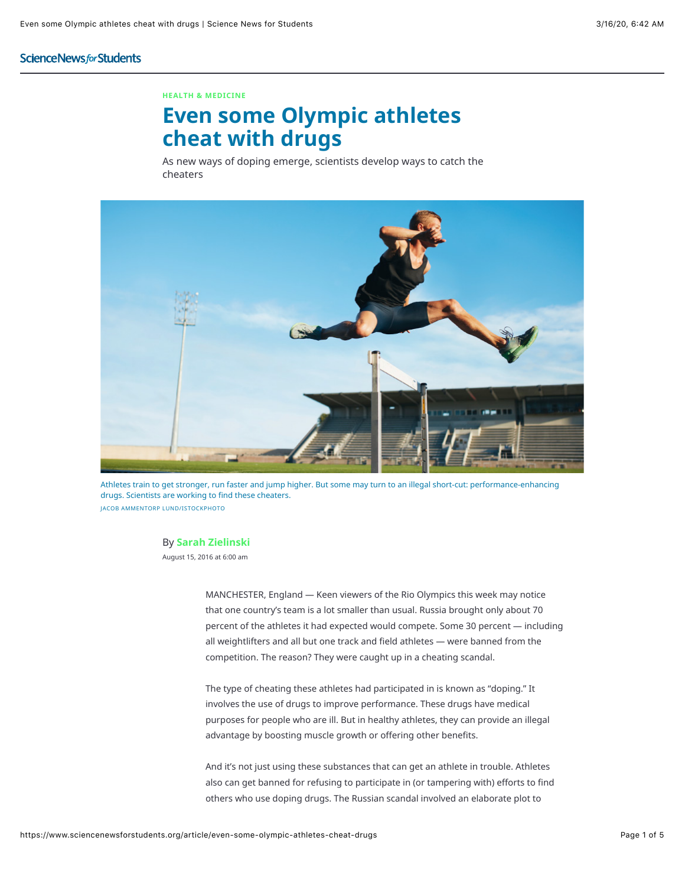### **ScienceNewsforStudents**

#### **HEALTH & MEDICINE**

# **Even some Olympic athletes cheat with drugs**

As new ways of doping emerge, scientists develop ways to catch the cheaters



Athletes train to get stronger, run faster and jump higher. But some may turn to an illegal short-cut: performance-enhancing drugs. Scientists are working to find these cheaters. JACOB AMMENTORP LUND/ISTOCKPHOTO

#### By **Sarah Zielinski**

August 15, 2016 at 6:00 am

MANCHESTER, England — Keen viewers of the Rio Olympics this week may notice that one country's team is a lot smaller than usual. Russia brought only about 70 percent of the athletes it had expected would compete. Some 30 percent — including all weightlifters and all but one track and field athletes — were banned from the competition. The reason? They were caught up in a cheating scandal.

The type of cheating these athletes had participated in is known as "doping." It involves the use of drugs to improve performance. These drugs have medical purposes for people who are ill. But in healthy athletes, they can provide an illegal advantage by boosting muscle growth or offering other benefits.

And it's not just using these substances that can get an athlete in trouble. Athletes also can get banned for refusing to participate in (or tampering with) efforts to find others who use doping drugs. The Russian scandal involved an elaborate plot to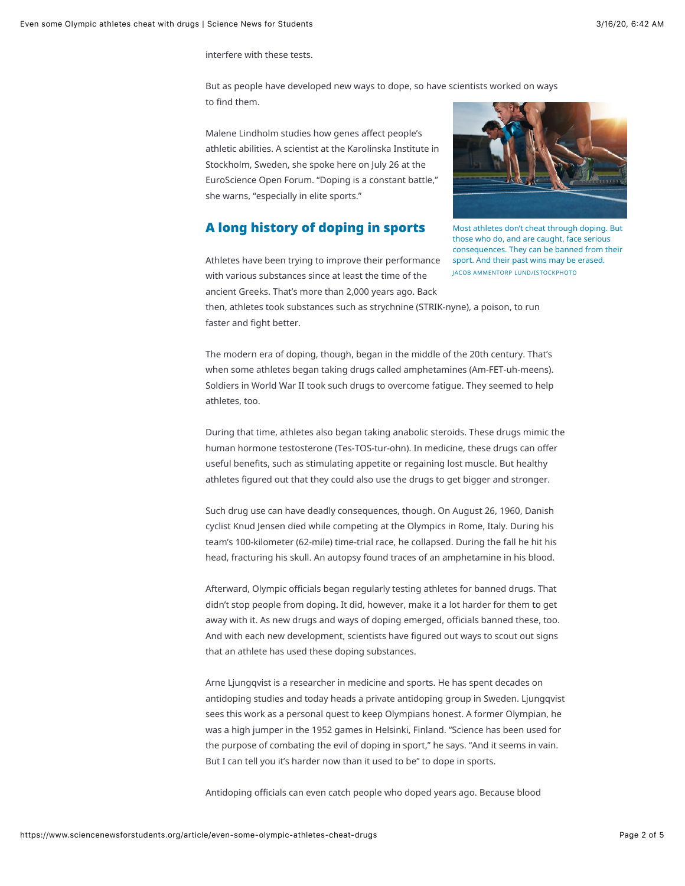interfere with these tests.

But as people have developed new ways to dope, so have scientists worked on ways to find them.

Malene Lindholm studies how genes affect people's athletic abilities. A scientist at the Karolinska Institute in Stockholm, Sweden, she spoke here on July 26 at the EuroScience Open Forum. "Doping is a constant battle," she warns, "especially in elite sports."

### A long history of doping in sports



Most athletes don't cheat through doping. But those who do, and are caught, face serious consequences. They can be banned from their sport. And their past wins may be erased. JACOB AMMENTORP LUND/ISTOCKPHOTO

Athletes have been trying to improve their performance with various substances since at least the time of the ancient Greeks. That's more than 2,000 years ago. Back

then, athletes took substances such as strychnine (STRIK-nyne), a poison, to run faster and fight better.

The modern era of doping, though, began in the middle of the 20th century. That's when some athletes began taking drugs called amphetamines (Am-FET-uh-meens). Soldiers in World War II took such drugs to overcome fatigue. They seemed to help athletes, too.

During that time, athletes also began taking anabolic steroids. These drugs mimic the human hormone testosterone (Tes-TOS-tur-ohn). In medicine, these drugs can offer useful benefits, such as stimulating appetite or regaining lost muscle. But healthy athletes figured out that they could also use the drugs to get bigger and stronger.

Such drug use can have deadly consequences, though. On August 26, 1960, Danish cyclist Knud Jensen died while competing at the Olympics in Rome, Italy. During his team's 100-kilometer (62-mile) time-trial race, he collapsed. During the fall he hit his head, fracturing his skull. An autopsy found traces of an amphetamine in his blood.

Afterward, Olympic officials began regularly testing athletes for banned drugs. That didn't stop people from doping. It did, however, make it a lot harder for them to get away with it. As new drugs and ways of doping emerged, officials banned these, too. And with each new development, scientists have figured out ways to scout out signs that an athlete has used these doping substances.

Arne Ljungqvist is a researcher in medicine and sports. He has spent decades on antidoping studies and today heads a private antidoping group in Sweden. Ljungqvist sees this work as a personal quest to keep Olympians honest. A former Olympian, he was a high jumper in the 1952 games in Helsinki, Finland. "Science has been used for the purpose of combating the evil of doping in sport," he says. "And it seems in vain. But I can tell you it's harder now than it used to be" to dope in sports.

Antidoping officials can even catch people who doped years ago. Because blood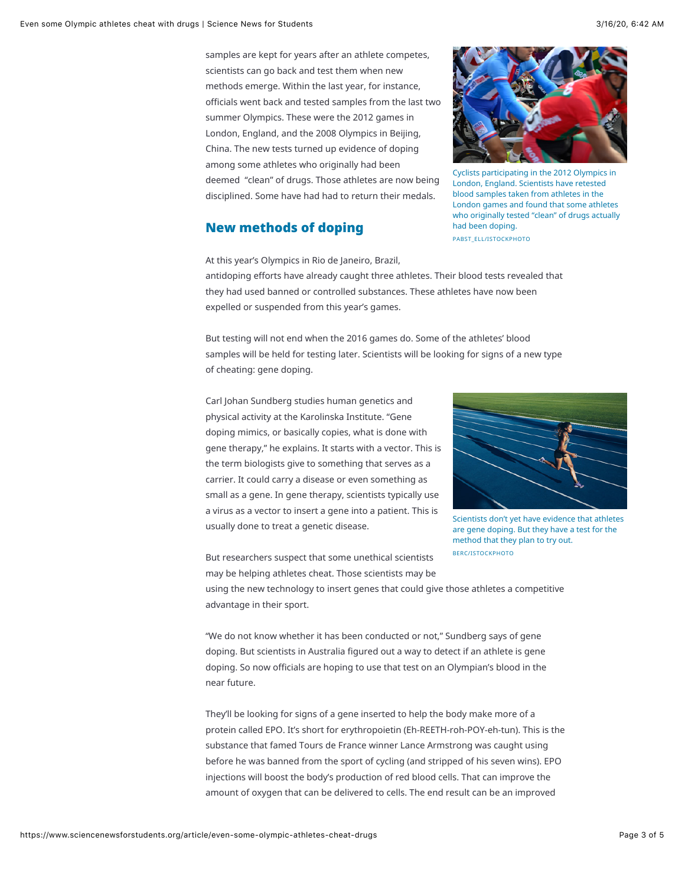samples are kept for years after an athlete competes, scientists can go back and test them when new methods emerge. Within the last year, for instance, officials went back and tested samples from the last two summer Olympics. These were the 2012 games in London, England, and the 2008 Olympics in Beijing, China. The new tests turned up evidence of doping among some athletes who originally had been deemed "clean" of drugs. Those athletes are now being disciplined. Some have had had to return their medals.

## New methods of doping



Cyclists participating in the 2012 Olympics in London, England. Scientists have retested blood samples taken from athletes in the London games and found that some athletes who originally tested "clean" of drugs actually had been doping. PABST\_ELL/ISTOCKPHOTO

At this year's Olympics in Rio de Janeiro, Brazil,

antidoping efforts have already caught three athletes. Their blood tests revealed that they had used banned or controlled substances. These athletes have now been expelled or suspended from this year's games.

But testing will not end when the 2016 games do. Some of the athletes' blood samples will be held for testing later. Scientists will be looking for signs of a new type of cheating: gene doping.

Carl Johan Sundberg studies human genetics and physical activity at the Karolinska Institute. "Gene doping mimics, or basically copies, what is done with gene therapy," he explains. It starts with a vector. This is the term biologists give to something that serves as a carrier. It could carry a disease or even something as small as a gene. In gene therapy, scientists typically use a virus as a vector to insert a gene into a patient. This is usually done to treat a genetic disease.



Scientists don't yet have evidence that athletes are gene doping. But they have a test for the method that they plan to try out. BERC/ISTOCKPHOTO

But researchers suspect that some unethical scientists may be helping athletes cheat. Those scientists may be

using the new technology to insert genes that could give those athletes a competitive advantage in their sport.

"We do not know whether it has been conducted or not," Sundberg says of gene doping. But scientists in Australia figured out a way to detect if an athlete is gene doping. So now officials are hoping to use that test on an Olympian's blood in the near future.

They'll be looking for signs of a gene inserted to help the body make more of a protein called EPO. It's short for erythropoietin (Eh-REETH-roh-POY-eh-tun). This is the substance that famed Tours de France winner Lance Armstrong was caught using before he was banned from the sport of cycling (and stripped of his seven wins). EPO injections will boost the body's production of red blood cells. That can improve the amount of oxygen that can be delivered to cells. The end result can be an improved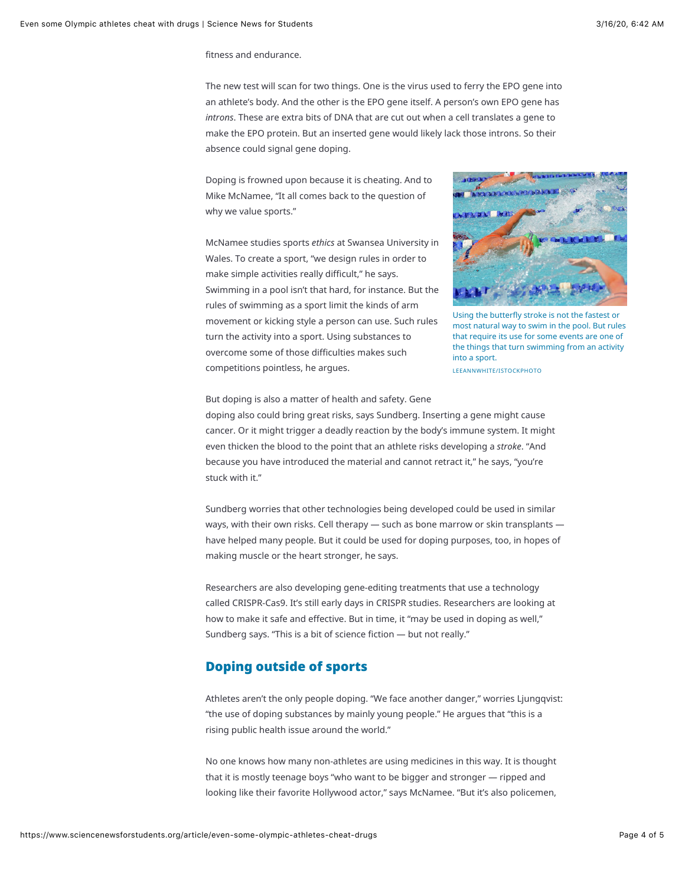fitness and endurance.

The new test will scan for two things. One is the virus used to ferry the EPO gene into an athlete's body. And the other is the EPO gene itself. A person's own EPO gene has *introns*. These are extra bits of DNA that are cut out when a cell translates a gene to make the EPO protein. But an inserted gene would likely lack those introns. So their absence could signal gene doping.

Doping is frowned upon because it is cheating. And to Mike McNamee, "It all comes back to the question of why we value sports."

McNamee studies sports *ethics* at Swansea University in Wales. To create a sport, "we design rules in order to make simple activities really difficult," he says. Swimming in a pool isn't that hard, for instance. But the rules of swimming as a sport limit the kinds of arm movement or kicking style a person can use. Such rules turn the activity into a sport. Using substances to overcome some of those difficulties makes such competitions pointless, he argues.



Using the butterfly stroke is not the fastest or most natural way to swim in the pool. But rules that require its use for some events are one of the things that turn swimming from an activity into a sport.

LEEANNWHITE/ISTOCKPHOTO

But doping is also a matter of health and safety. Gene doping also could bring great risks, says Sundberg. Inserting a gene might cause cancer. Or it might trigger a deadly reaction by the body's immune system. It might even thicken the blood to the point that an athlete risks developing a *stroke*. "And because you have introduced the material and cannot retract it," he says, "you're stuck with it."

Sundberg worries that other technologies being developed could be used in similar ways, with their own risks. Cell therapy — such as bone marrow or skin transplants have helped many people. But it could be used for doping purposes, too, in hopes of making muscle or the heart stronger, he says.

Researchers are also developing gene-editing treatments that use a technology called CRISPR-Cas9. It's still early days in CRISPR studies. Researchers are looking at how to make it safe and effective. But in time, it "may be used in doping as well," Sundberg says. "This is a bit of science fiction — but not really."

## Doping outside of sports

Athletes aren't the only people doping. "We face another danger," worries Ljungqvist: "the use of doping substances by mainly young people." He argues that "this is a rising public health issue around the world."

No one knows how many non-athletes are using medicines in this way. It is thought that it is mostly teenage boys "who want to be bigger and stronger — ripped and looking like their favorite Hollywood actor," says McNamee. "But it's also policemen,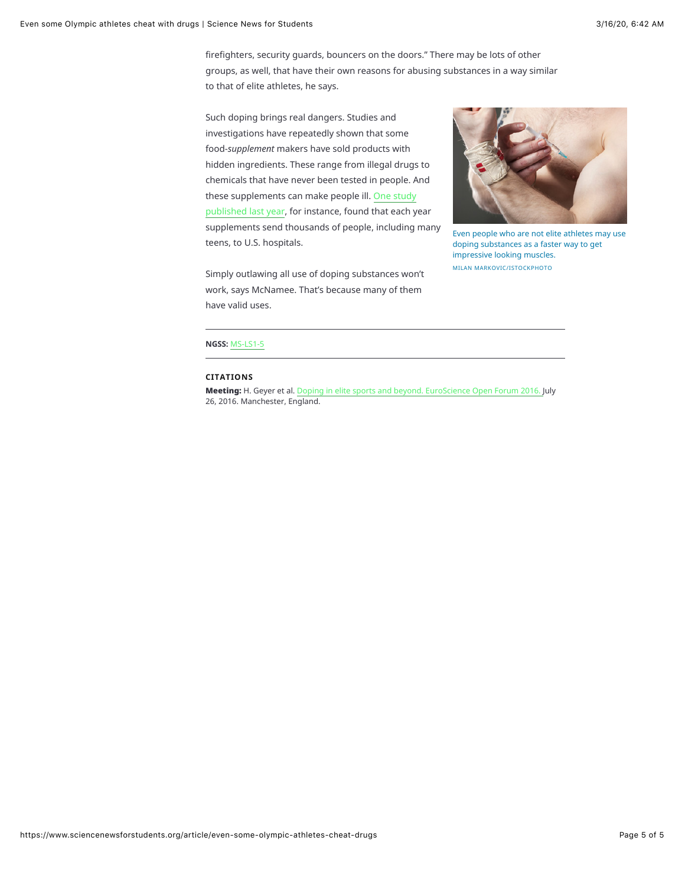firefighters, security guards, bouncers on the doors." There may be lots of other groups, as well, that have their own reasons for abusing substances in a way similar to that of elite athletes, he says.

Such doping brings real dangers. Studies and investigations have repeatedly shown that some food-*supplement* makers have sold products with hidden ingredients. These range from illegal drugs to chemicals that have never been tested in people. And these supplements can make people ill. One study published last year, for instance, found that each year supplements send thousands of people, including many teens, to U.S. hospitals.





Even people who are not elite athletes may use doping substances as a faster way to get impressive looking muscles. MILAN MARKOVIC/ISTOCKPHOTO

### **NGSS:** MS-LS1-5

#### **CITATIONS**

Meeting: H. Geyer et al. Doping in elite sports and beyond. EuroScience Open Forum 2016. July 26, 2016. Manchester, England.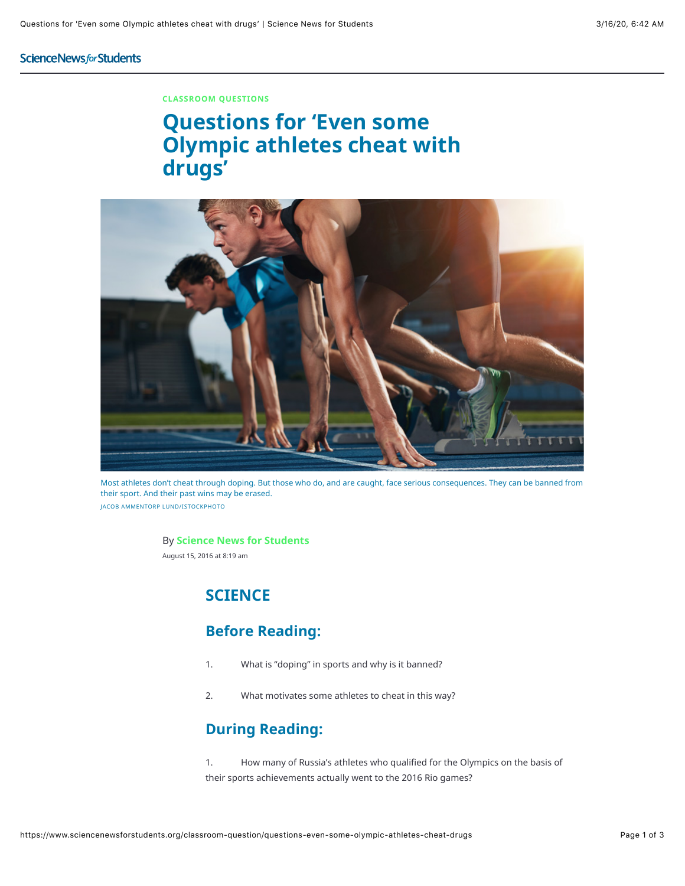## ScienceNewsforStudents

### **CLASSROOM QUESTIONS**

# **Questions for 'Even some Olympic athletes cheat with drugs'**



Most athletes don't cheat through doping. But those who do, and are caught, face serious consequences. They can be banned from their sport. And their past wins may be erased. JACOB AMMENTORP LUND/ISTOCKPHOTO

#### By **Science News for Students**

August 15, 2016 at 8:19 am

# **SCIENCE**

## **Before Reading:**

- 1. What is "doping" in sports and why is it banned?
- 2. What motivates some athletes to cheat in this way?

## **During Reading:**

1. How many of Russia's athletes who qualified for the Olympics on the basis of their sports achievements actually went to the 2016 Rio games?